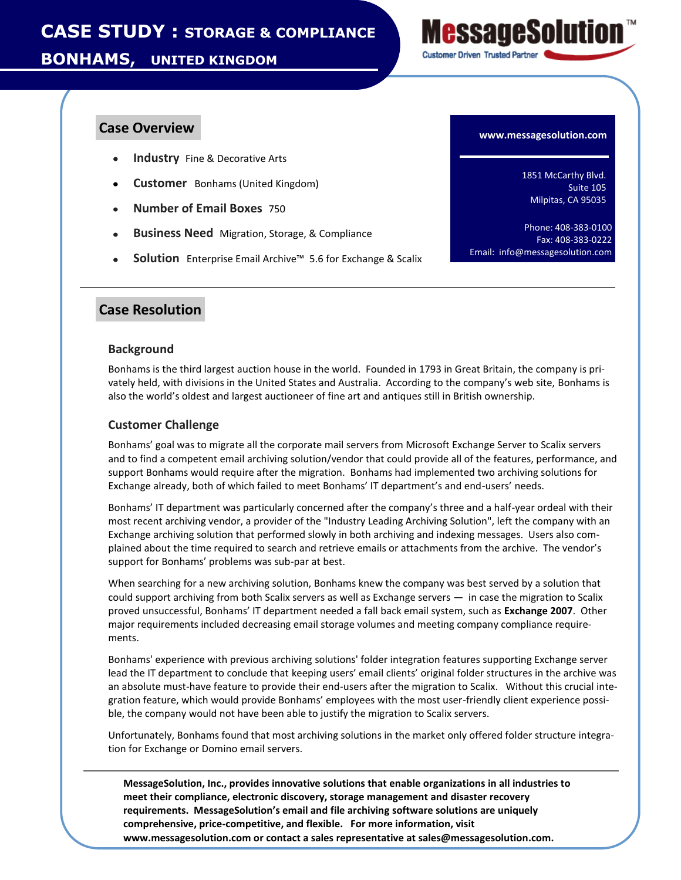**BONHAMS, UNITED KINGDOM**



- $\bullet$ **Industry** Fine & Decorative Arts
- **Customer** Bonhams (United Kingdom)
- **Number of Email Boxes** 750
- **Business Need** Migration, Storage, & Compliance
- **Solution** Enterprise Email Archive™ 5.6 for Exchange & Scalix

# **Case Overview**

1851 McCarthy Blvd. Suite 105 Milpitas, CA 95035

Phone: 408-383-0100 Fax: 408-383-0222 Email: info@messagesolution.com

# **Case Resolution**

### **Background**

Bonhams is the third largest auction house in the world. Founded in 1793 in Great Britain, the company is privately held, with divisions in the United States and Australia. According to the company's web site, Bonhams is also the world's oldest and largest auctioneer of fine art and antiques still in British ownership.

### **Customer Challenge**

Bonhams' goal was to migrate all the corporate mail servers from Microsoft Exchange Server to Scalix servers and to find a competent email archiving solution/vendor that could provide all of the features, performance, and support Bonhams would require after the migration. Bonhams had implemented two archiving solutions for Exchange already, both of which failed to meet Bonhams' IT department's and end-users' needs.

Bonhams' IT department was particularly concerned after the company's three and a half-year ordeal with their most recent archiving vendor, a provider of the "Industry Leading Archiving Solution", left the company with an Exchange archiving solution that performed slowly in both archiving and indexing messages. Users also complained about the time required to search and retrieve emails or attachments from the archive. The vendor's support for Bonhams' problems was sub-par at best.

When searching for a new archiving solution, Bonhams knew the company was best served by a solution that could support archiving from both Scalix servers as well as Exchange servers — in case the migration to Scalix proved unsuccessful, Bonhams' IT department needed a fall back email system, such as **Exchange 2007**. Other major requirements included decreasing email storage volumes and meeting company compliance requirements.

Bonhams' experience with previous archiving solutions' folder integration features supporting Exchange server lead the IT department to conclude that keeping users' email clients' original folder structures in the archive was an absolute must-have feature to provide their end-users after the migration to Scalix. Without this crucial integration feature, which would provide Bonhams' employees with the most user-friendly client experience possible, the company would not have been able to justify the migration to Scalix servers.

Unfortunately, Bonhams found that most archiving solutions in the market only offered folder structure integration for Exchange or Domino email servers.

**MessageSolution, Inc., provides innovative solutions that enable organizations in all industries to meet their compliance, electronic discovery, storage management and disaster recovery requirements. MessageSolution's email and file archiving software solutions are uniquely comprehensive, price-competitive, and flexible. For more information, visit www.messagesolution.com or contact a sales representative at sales@messagesolution.com.**